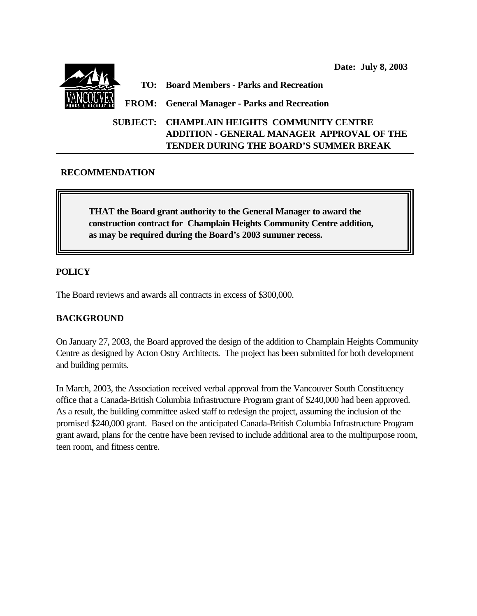**Date: July 8, 2003 TO: Board Members - Parks and Recreation FROM: General Manager - Parks and Recreation SUBJECT: CHAMPLAIN HEIGHTS COMMUNITY CENTRE ADDITION - GENERAL MANAGER APPROVAL OF THE TENDER DURING THE BOARD'S SUMMER BREAK**

# **RECOMMENDATION**

**THAT the Board grant authority to the General Manager to award the construction contract for Champlain Heights Community Centre addition, as may be required during the Board's 2003 summer recess.**

# **POLICY**

The Board reviews and awards all contracts in excess of \$300,000.

## **BACKGROUND**

On January 27, 2003, the Board approved the design of the addition to Champlain Heights Community Centre as designed by Acton Ostry Architects. The project has been submitted for both development and building permits.

In March, 2003, the Association received verbal approval from the Vancouver South Constituency office that a Canada-British Columbia Infrastructure Program grant of \$240,000 had been approved. As a result, the building committee asked staff to redesign the project, assuming the inclusion of the promised \$240,000 grant. Based on the anticipated Canada-British Columbia Infrastructure Program grant award, plans for the centre have been revised to include additional area to the multipurpose room, teen room, and fitness centre.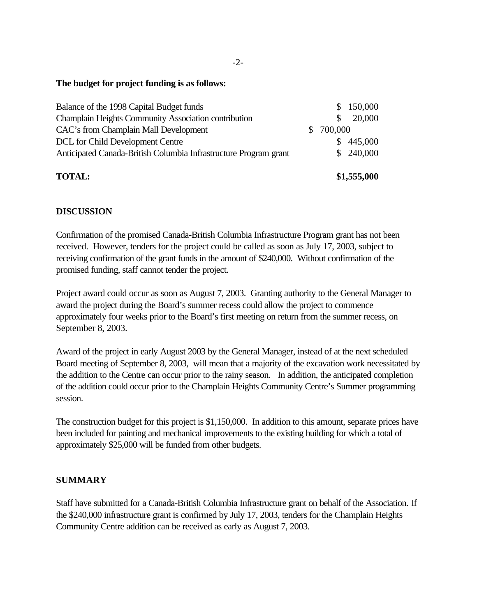### **The budget for project funding is as follows:**

| <b>TOTAL:</b>                                                    |    | \$1,555,000 |
|------------------------------------------------------------------|----|-------------|
| Anticipated Canada-British Columbia Infrastructure Program grant |    | \$240,000   |
| DCL for Child Development Centre                                 |    | \$445,000   |
| CAC's from Champlain Mall Development                            | S. | 700,000     |
| Champlain Heights Community Association contribution             |    | 20,000      |
| Balance of the 1998 Capital Budget funds                         |    | \$150,000   |

# **DISCUSSION**

Confirmation of the promised Canada-British Columbia Infrastructure Program grant has not been received. However, tenders for the project could be called as soon as July 17, 2003, subject to receiving confirmation of the grant funds in the amount of \$240,000. Without confirmation of the promised funding, staff cannot tender the project.

Project award could occur as soon as August 7, 2003. Granting authority to the General Manager to award the project during the Board's summer recess could allow the project to commence approximately four weeks prior to the Board's first meeting on return from the summer recess, on September 8, 2003.

Award of the project in early August 2003 by the General Manager, instead of at the next scheduled Board meeting of September 8, 2003, will mean that a majority of the excavation work necessitated by the addition to the Centre can occur prior to the rainy season. In addition, the anticipated completion of the addition could occur prior to the Champlain Heights Community Centre's Summer programming session.

The construction budget for this project is \$1,150,000. In addition to this amount, separate prices have been included for painting and mechanical improvements to the existing building for which a total of approximately \$25,000 will be funded from other budgets.

## **SUMMARY**

Staff have submitted for a Canada-British Columbia Infrastructure grant on behalf of the Association. If the \$240,000 infrastructure grant is confirmed by July 17, 2003, tenders for the Champlain Heights Community Centre addition can be received as early as August 7, 2003.